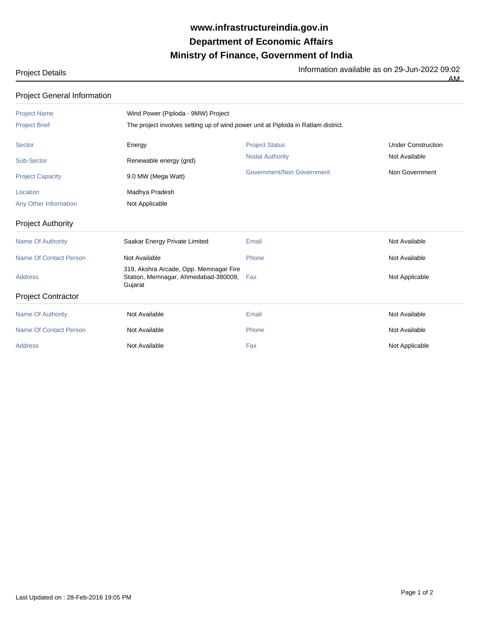## **Ministry of Finance, Government of India Department of Economic Affairs www.infrastructureindia.gov.in**

Information available as on 29-Jun-2022 09:02

|  | <b>Project Details</b> |  |
|--|------------------------|--|
|  |                        |  |

Project General Information

 $\overline{AM}$ 

| <b>Project Name</b>           | Wind Power (Piploda - 9MW) Project                                                        |                                                                                   |                           |  |  |  |
|-------------------------------|-------------------------------------------------------------------------------------------|-----------------------------------------------------------------------------------|---------------------------|--|--|--|
| <b>Project Brief</b>          |                                                                                           | The project involves setting up of wind power unit at Piploda in Ratlam district. |                           |  |  |  |
| <b>Sector</b>                 | Energy                                                                                    | <b>Project Status</b>                                                             | <b>Under Construction</b> |  |  |  |
| Sub-Sector                    | Renewable energy (grid)                                                                   | <b>Nodal Authority</b>                                                            | Not Available             |  |  |  |
| <b>Project Capacity</b>       | 9.0 MW (Mega Watt)                                                                        | <b>Government/Non Government</b>                                                  | Non Government            |  |  |  |
| Location                      | Madhya Pradesh                                                                            |                                                                                   |                           |  |  |  |
| Any Other Information         | Not Applicable                                                                            |                                                                                   |                           |  |  |  |
| <b>Project Authority</b>      |                                                                                           |                                                                                   |                           |  |  |  |
| <b>Name Of Authority</b>      | Saakar Energy Private Limited                                                             | Email                                                                             | Not Available             |  |  |  |
| <b>Name Of Contact Person</b> | Not Available                                                                             | Phone                                                                             | Not Available             |  |  |  |
| <b>Address</b>                | 319, Akshra Arcade, Opp. Memnagar Fire<br>Station, Memnagar, Ahmedabad-380009,<br>Gujarat | Fax                                                                               | Not Applicable            |  |  |  |
| <b>Project Contractor</b>     |                                                                                           |                                                                                   |                           |  |  |  |
| <b>Name Of Authority</b>      | Not Available                                                                             | Email                                                                             | Not Available             |  |  |  |
| <b>Name Of Contact Person</b> | Not Available                                                                             | Phone                                                                             | Not Available             |  |  |  |
| <b>Address</b>                | Not Available                                                                             | Fax                                                                               | Not Applicable            |  |  |  |
|                               |                                                                                           |                                                                                   |                           |  |  |  |